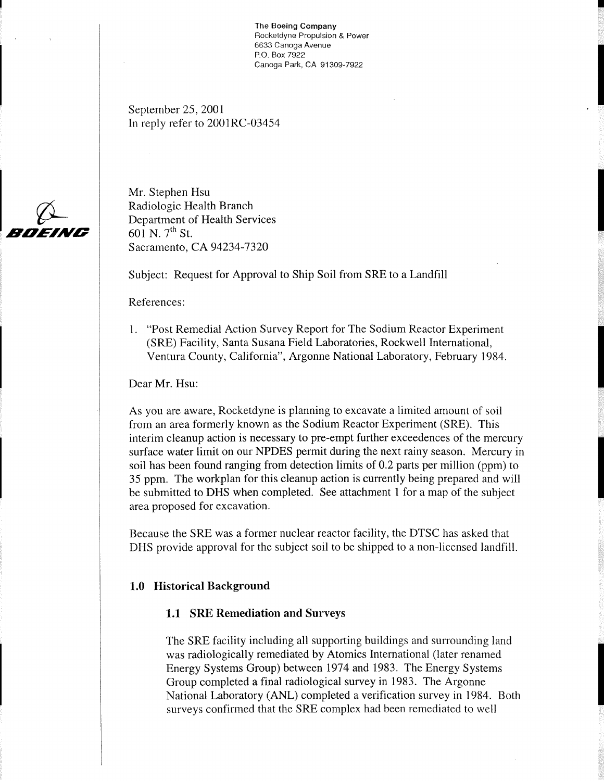The **Boeing Company**  Rocketdyne Propulsion & Power 6633 Canoga Avenue P.O. Box 7922 Canoga Park, CA 91 309-7922

September 25, 2001 In reply refer to 2001RC-03454



Mr. Stephen Hsu Radiologic Health Branch Department of Health Services  $601$  N.  $7^{th}$  St. Sacramento, CA 94234-7320

Subject: Request for Approval to Ship Soil from SRE to a Landfill

References:

1. "Post Remedial Action Survey Report for The Sodium Reactor Experiment (SRE) Facility, Santa Susana Field Laboratories, Rockwell International, Ventura County, California", Argonne National Laboratory, February 1984.

Dear Mr. Hsu:

As you are aware, Rocketdyne is planning to excavate a limited amount of soil from an area formerly known as the Sodium Reactor Experiment (SRE). This interim cleanup action is necessary to pre-empt further exceedences of the mercury surface water limit on our NPDES permit during the next rainy season. Mercury in soil has been found ranging from detection limits of 0.2 parts per million (ppm) to 35 ppm. The workplan for this cleanup action is currently being prepared and will be submitted to DHS when completed. See attachment 1 for a map of the subject area proposed for excavation.

Because the SRE was a former nuclear reactor facility, the DTSC has asked that DHS provide approval for the subject soil to be shipped to a non-licensed landfill.

### **1.0 Historical Background**

### **1.1 SRE Remediation and Surveys**

The SRE facility including all supporting buildings and surrounding land was radiologically remediated by Atomics International (later renamed Energy Systems Group) between 1974 and 1983. The Energy Systems Group completed a final radiological survey in 1983. The Argonne National Laboratory (ANL) completed a verification survey in 1984. Both surveys confirmed that the SRE complex had been remediated to well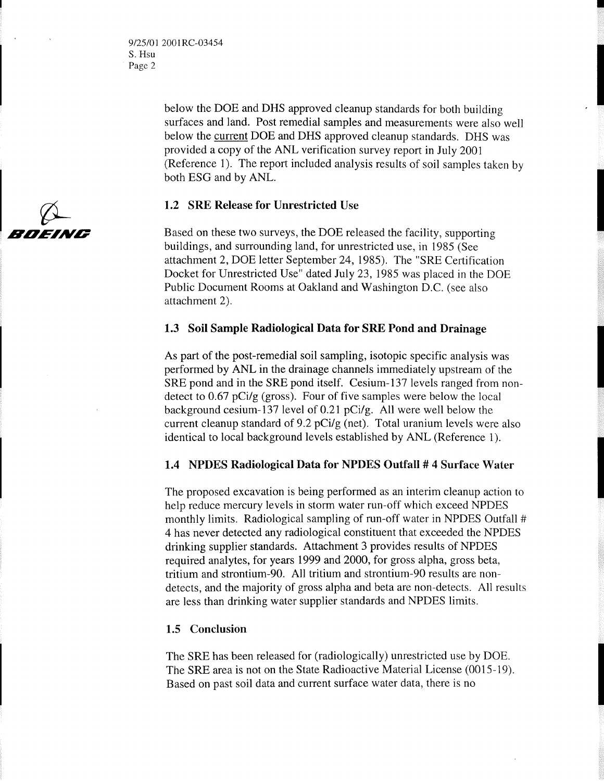9/25/0 1 200 **1** RC-03454 S. Hsu Page 2

> below the DOE and DHS approved cleanup standards for both building surfaces and land. Post remedial samples and measurements were also well below the current DOE and DHS approved cleanup standards. DHS was provided a copy of the ANL verification survey report in July 2001 (Reference 1). The report included analysis results of soil samples taken by both ESG and by ANL.

### **1.2 SRE Release for Unrestricted Use**

Based on these two surveys, the DOE released the facility, supporting buildings, and surrounding land, for unrestricted use, in 1985 (See attachment 2, DOE letter September 24, 1985). The "SRE Certification Docket for Unrestricted Use" dated July 23, 1985 was placed in the DOE Public Document Rooms at Oakland and Washington D.C. (see also attachment 2).

### **1.3 Soil Sample Radiological Data for SRE Pond and Drainage**

As part of the post-remedial soil sampling, isotopic specific analysis was performed by ANL in the drainage channels immediately upstream of the SRE pond and in the SRE pond itself. Cesium-137 levels ranged from nondetect to 0.67 pCi/g (gross). Four of five samples were below the local background cesium-137 level of 0.21 pCi/g. All were well below the current cleanup standard of 9.2 pCi/g (net). Total uranium levels were also identical to local background levels established by ANL (Reference 1).

### **1.4 NPDES Radiological Data for NPDES Outfall** # **4 Surface Water**

The proposed excavation is being performed as an interim cleanup action to help reduce mercury levels in storm water run-off which exceed NPDES monthly limits. Radiological sampling of run-off water in NPDES Outfall # 4 has never detected any radiological constituent that exceeded the NPDES drinking supplier standards. Attachment **3** provides results of NPDES required analytes, for years 1999 and 2000, for gross alpha, gross beta, tritium and strontium-90. All tritium and strontium-90 results are nondetects, and the majority of gross alpha and beta are non-detects. All results are less than drinking water supplier standards and NPDES limits.

### 1.5 **Conclusion**

The SRE has been released for (radiologically) unrestricted use by DOE. The SRE area is not on the State Radioactive Material License (0015-19). Based on past soil data and current surface water data, there is no

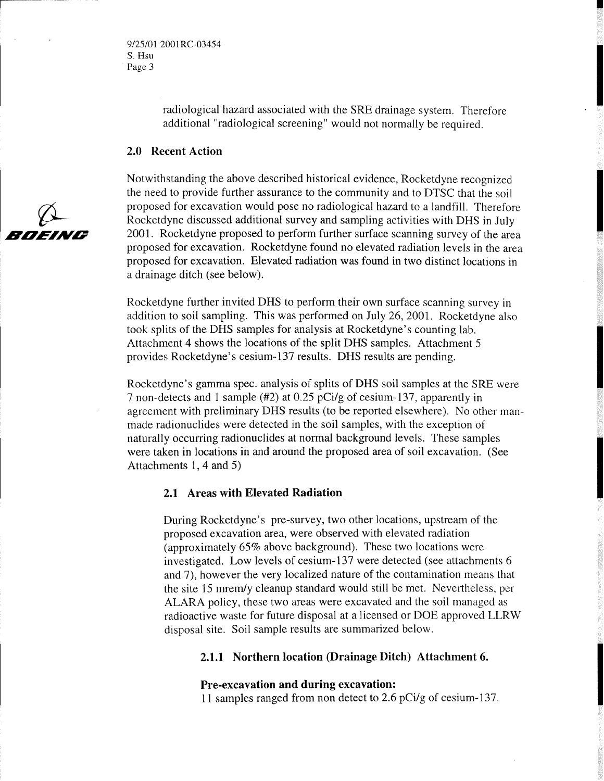radiological hazard associated with the SRE drainage system. Therefore additional "radiological screening" would not normally be required.

#### **2.0 Recent Action**

Notwithstanding the above described historical evidence, Rocketdyne recognized the need to provide further assurance to the community and to DTSC that the soil proposed for excavation would pose no radiological hazard to a landfill. Therefore Rocketdyne discussed additional survey and sampling activities with DHS in July 2001. Rocketdyne proposed to perform further surface scanning survey of the area proposed for excavation. Rocketdyne found no elevated radiation levels in the area proposed for excavation. Elevated radiation was found in two distinct locations in a drainage ditch (see below).

Rocketdyne further invited DHS to perform their own surface scanning survey in addition to soil sampling. This was performed on July 26, 2001. Rocketdyne also took splits of the DHS samples for analysis at Rocketdyne's counting lab. Attachment 4 shows the locations of the split DHS samples. Attachment 5 provides Rocketdyne's cesium-1 37 results. DHS results are pending.

Rocketdyne's gamma spec. analysis of splits of DHS soil samples at the SRE were 7 non-detects and 1 sample (#2) at 0.25 pCi/g of cesium-137, apparently in agreement with preliminary DHS results (to be reported elsewhere). No other manmade radionuclides were detected in the soil samples, with the exception of naturally occurring radionuclides at normal background levels. These samples were taken in locations in and around the proposed area of soil excavation. (See Attachments 1, 4 and 5)

### **2.1 Areas with Elevated Radiation**

During Rocketdyne's pre-survey, two other locations, upstream of the proposed excavation area, were observed with elevated radiation (approximately 65% above background). These two locations were investigated. Low levels of cesium-137 were detected (see attachments 6 and 7), however the very localized nature of the contamination means that the site 15 mrernly cleanup standard would still be met. Nevertheless, per ALARA policy, these two areas were excavated and the soil managed as radioactive waste for future disposal at a licensed or DOE approved LLRW disposal site. Soil sample results are summarized below.

### **2.1.1 Northern location (Drainage Ditch) Attachment 6.**

### **Pre-excavation and during excavation:**

11 samples ranged from non detect to 2.6 pCi/g of cesium-137.

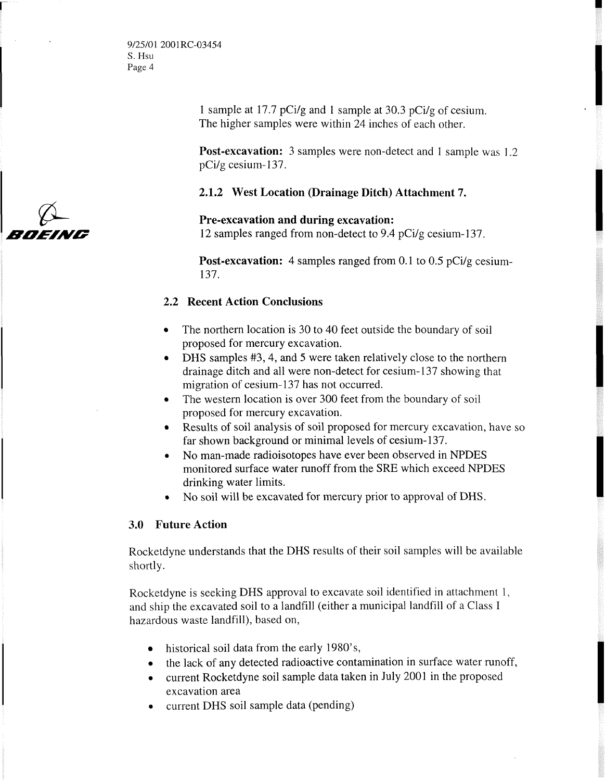1 sample at 17.7 pCi/g and **1** sample at 30.3 pCi/g of cesium. The higher samples were within 24 inches of each other.

**Post-excavation:** 3 samples were non-detect and 1 sample was 1.2 pCi/g cesium-137.

### **2.1.2 West Location (Drainage Ditch) Attachment 7.**

**Pre-excavation and during excavation:**  12 samples ranged from non-detect to 9.4 pCi/g cesium-137.

**Post-excavation:** 4 samples ranged from 0.1 to 0.5 pCi/g cesium-137.

### **2.2 Recent Action Conclusions**

- The northern location is 30 to 40 feet outside the boundary of soil proposed for mercury excavation.
- DHS samples #3, 4, and 5 were taken relatively close to the northern drainage ditch and all were non-detect for cesium-137 showing that migration of cesium- 137 has not occurred.
- The western location is over 300 feet from the boundary of soil proposed for mercury excavation.
- Results of soil analysis of soil proposed for mercury excavation, have so far shown background or minimal levels of cesium- 137.
- **<sup>0</sup>**No man-made radioisotopes have ever been observed in NPDES monitored surface water runoff from the SRE which exceed NPDES drinking water limits.
- No soil will be excavated for mercury prior to approval of DHS.

### **3.0 Future Action**

Rocketdyne understands that the DHS results of their soil samples will be available shortly.

Rocketdyne is seeking DHS approval to excavate soil identified in attachment 1, and ship the excavated soil to a landfill (either a municipal landfill of a Class I hazardous waste landfill), based on,

- historical soil data from the early 1980's,
- the lack of any detected radioactive contamination in surface water runoff,
- **<sup>0</sup>**current Rocketdyne soil sample data taken in July 2001 in the proposed excavation area
- **0** current DHS soil sample data (pending)

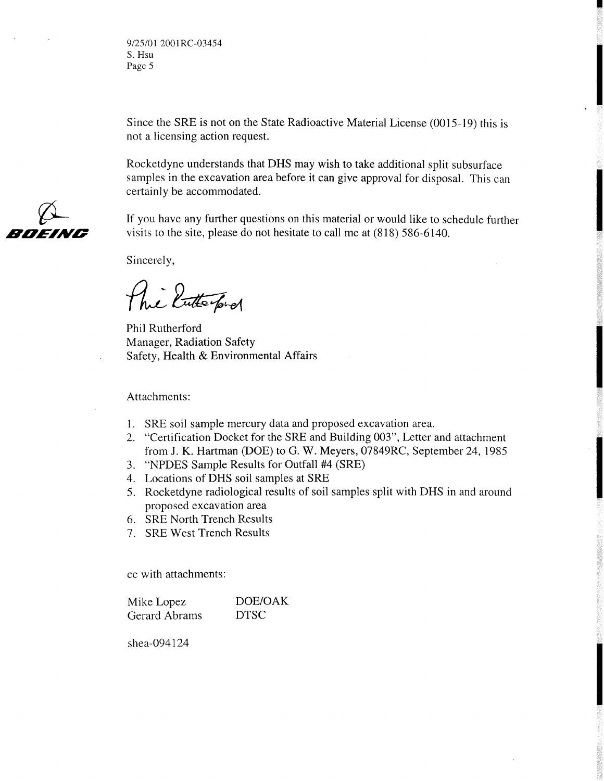*912510* 1 *2001 RC-03454*  S. Hsu Page *5* 

Since the SRE is not on the State Radioactive Material License (0015-19) this is not a licensing action request.

Rocketdyne understands that DHS may wish to take additional split subsurface samples in the excavation area before it can give approval for disposal. This can certainly be accommodated.

If you have any further questions on this material or would like to schedule further visits to the site, please do not hesitate to call me at (818) 586-6140.

Sincerely,

The Enterpret

Phil Rutherford Manager, Radiation Safety Safety, Health & Environmental Affairs

Attachments:

- SRE soil sample mercury data and proposed excavation area.
- "Certification Docket for the SRE and Building 003", Letter and attachment from J. K. Hartman (DOE) to G. W. Meyers, 07849RC, September 24, 1985
- "NPDES Sample Results for Outfall #4 (SRE)
- Locations of DHS soil samples at SRE
- Rocketdyne radiological results of soil samples split with DHS in and around proposed excavation area
- 6. SRE North Trench Results
- 7. SRE West Trench Results

cc with attachments:

Mike Lopez DOE/OAK Gerard Abrams DTSC

shea-094124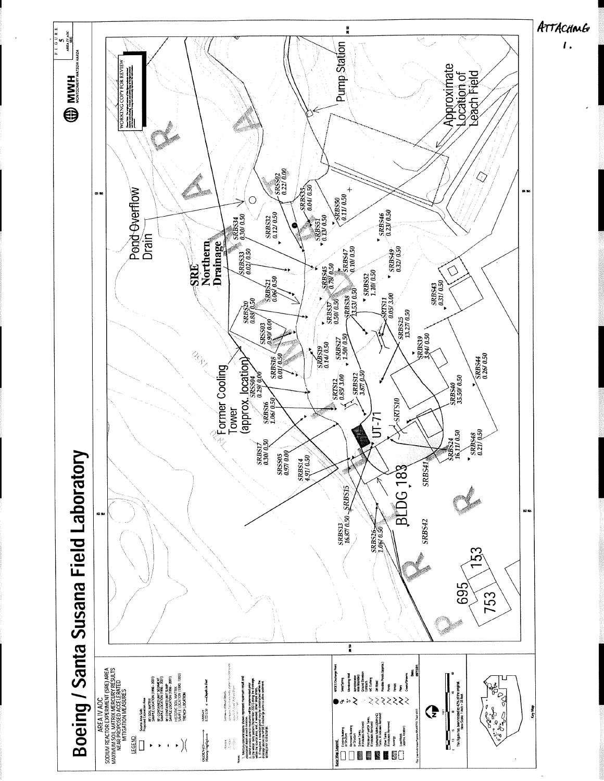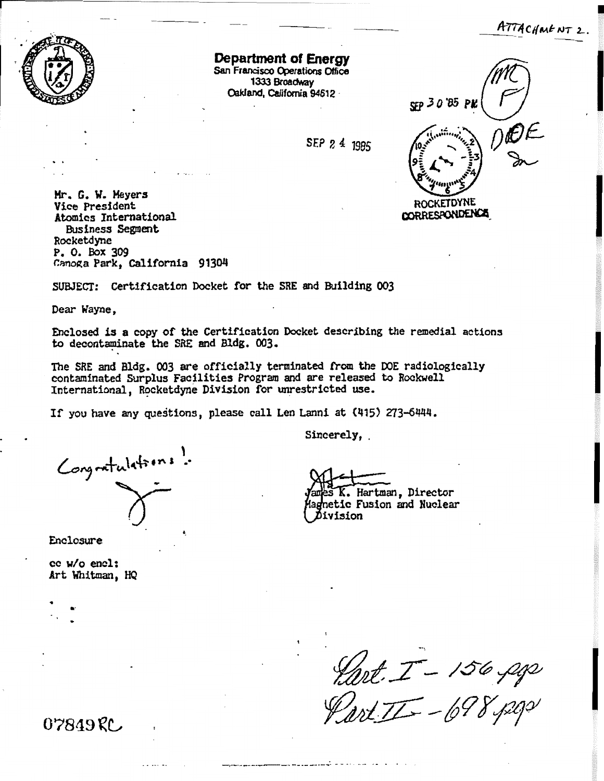ATTACHMENT 2.



**Department of Energy San Francisco Operations Office** 1333 Broadway **Wand, California 94612** -

SEP 2 4 1985



**Hr. G. W. Myers Vice President Atomics International Ehsiness Seeplat Rocketdyne P. 0. bx 309 Canotza Park, California** 

**SUBJECT: Certification Docket for the SRE and Building 003** 

**Dear Wayne,** 

Enclosed is a copy of the Certification Docket describing the remedial actions **to decontdate the SRF. and Bldg. 003,** 

**The SRE and Bldg. 003 are officially terminated kom the DOE radioZogically contaminated Surplus Facilities Program and are released to Rocbell**  International, **Rocketdyne Division for unrestricted use.** 

**If you have any questions, please call Len** Lanni **at (415) 273-6444.** 

**<sup>I</sup>**- **Sincerely,** .

 $\epsilon$ *<u>d</u>*  $\epsilon$ <sub>7</sub>,  $\epsilon$   $\frac{1}{2}$ ,  $\epsilon$ 

**Enclosure** 

**cc W/O end: Art Whitman, tfQ** 

. **Hartman, Director c Fusion and Nuclear**  Division

Hart. I - 156, pg

07849RC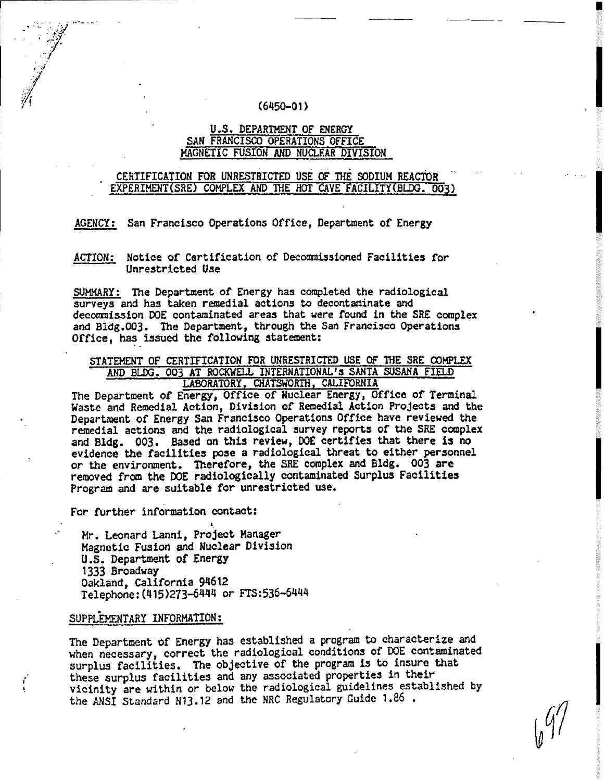#### $(6450 - 01)$

### **U .S. DEPARTMENT OF EHERGY SAN FRANCISCO OPERATIONS OFFICE MAGNETIC FUSION AND NUCLEAR DIVISION**

### CERTIFICATION FOR UNRESTRICTED USE OF THE SODIUM REACTOR EXPERIMENT(SRE) COMPLEX AND THE HOT CAVE FACILITY(BLDG. 003)

**AGENCY** : **San Francisco Operations Off ice, Department of Energy** 

**ACTION; Not1 ce of Certification of Decommissioned Facilities far Unrestricted Use** 

**SUMMARY: The Department of Energy has canplated the radiological surveys and has taken remedial actions t~ decontaminate and decorc~aission DOE contaminated areas that were found in the SRE cornplex and Bldg.003. The Department, through the San Francisco Operations Office, has issued the following statement:** 

### STATEMENT OF CERTIFICATION FOR UNRESTRICTED USE OF THE SRE COMPLEX **AND BLK: 003 AT RD- INTERNATIONAL'S SANTA SOSANA FIELD**  LABORATORY, CHATSWORTH, CALIFORNIA

**The Department of Energy, Office of Nuclear Energy, Office of Terminal Waste and Remedial Action, Division of Remedial Action Projects and the Department of Energy San Francisco Operations Office have reviewed the remedial actions and** the **radiological survey reports of the SK complex**  and Bldg. 003. Based on this review, DOE certifies that there is no **evidence the facilities pose a radiological threat to either personnel or the environment. T2zerefore, the SRE complex and Bldg.** *003* **are removed from the DOE radiologically contaminated Surplus Facilities Program and are suitable far unrestricted use,** 

**For further information cantact:** 

**L.** " **Mr. Leonard Lanni, Project Manager Magnetic Fusion and Nuclear Division** . **U .S. Department of Energy 1333 Broadway Oakland, California 94612 Telephone** : **(415 )273-644'1** or **FTS:536-6444** 

#### SUPPLEMENTARY INFORMATION:

**The Department of Energy has established a program to characterize and when necessary, correct the radiological conditions of DOE contaminated surplus facilities. The objective of the program is to insure that**  *<sup>I</sup>***these surplus facilities and any associated properties in their**  ! **vicinity are within or below the radiological guidelines established by the ANSI Standard N13.12 and the NRC** Regulatory **Guide** 1.86 .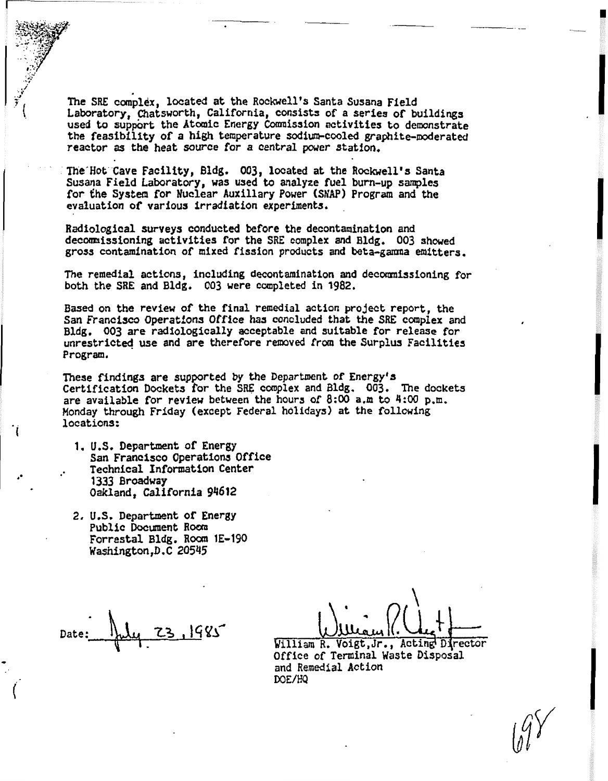The SRE complex. located at the Rockwell's Santa Susana Field Laboratory, Chatsworth, California, consists of a series of buildings used to suppbrt the **Atomic Energy** Cmission **activities to** demonstrate **the** feasibility of a **hfgh temperature diur~-cooled graphite-moderated reactor as the heat source** for a central **power** station.

**The'Hot Cave** Facility, **Bldg.** 003, **located** at the Rockwell's Santa **Susana Field** Laboratory, **was used ta** analyze **fuel** bum-up **samples for the** System for **Nuclear** Auxillary Power (SNAP) Program and the evaluation of various **irradf atf on experfments.** 

Radiological **surveys** conducted before the decontamination and decbmnissioning **activities** for the **SRE** complex and **Bldg. DO3 showed gross** contamination of **mixed** fission products **and beta-gamna** emitters.

The remedial actions, including decontamination and decommissioning for both **the SRE** and **Bldg,** 003 **were** completed in 1982.

**Based** on the review of **the** final remedial **action** project report, the San **Francisco Operations** *Office* **has concluded** that the **SRE** complex and **Bldg.** 003 **are** radioLogically **acceptable** and suitable for release for unrestrictd **use** and are therefore **removed from the Surplus** Facilities Program.

I **These findings are supported by the** Department of **Energy's** Certification **Dockets** for the **SRE** complex and Bldg. **003. The dockets**  are available **for** review **between** the **hours** of **8:00** a.m to **4:W** p.m. Monday through Friday **(except** Federal **holidays** at the **following**  locations:

- 1. **U.S.** Department of **Energy**  San **Francisco** Operations Office Technical **Information Center 1333 Broadway Oakland, California 94612**
- **2, U.S.** Department **of** Energy Public Document Room **Forrestal** Bldg. **Roorn 1E-190 #asfiington,D. C 20545**

&illiam **R. Voigt** , Jr . , **Acting Djrector Office** of **Teminal Waste** Disposal and Remedial Action **DOE/HQ**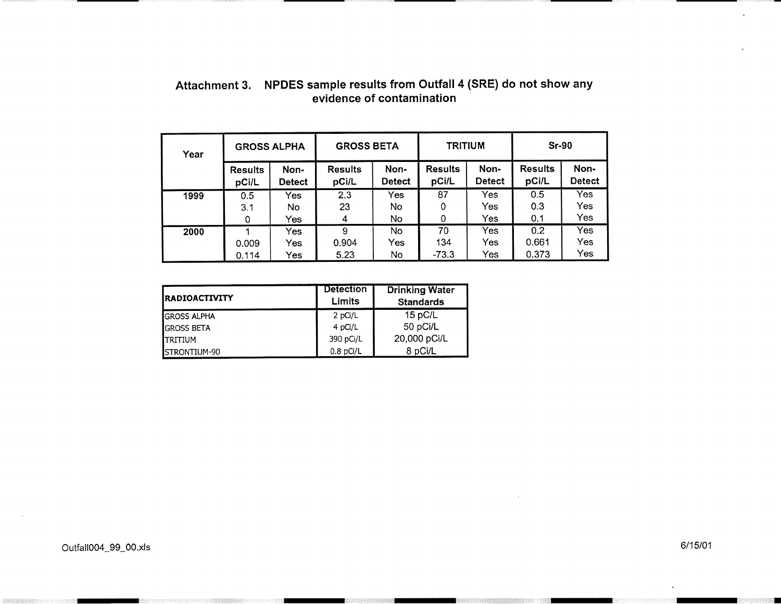| Year | <b>GROSS ALPHA</b> |                   | <b>GROSS BETA</b>  |                  | <b>TRITIUM</b>       |                   | <b>Sr-90</b>          |                   |
|------|--------------------|-------------------|--------------------|------------------|----------------------|-------------------|-----------------------|-------------------|
|      | <b>Results</b>     | Non-              | <b>Results</b>     | Non-             | <b>Results</b>       | Non-              | <b>Results</b>        | Non-              |
|      | pCi/L              | <b>Detect</b>     | pCi/L              | <b>Detect</b>    | pCi/L                | <b>Detect</b>     | pCi/L                 | <b>Detect</b>     |
| 1999 | 0.5                | Yes               | 2.3                | Yes              | 87                   | Yes               | 0.5                   | Yes               |
|      | 3.1                | No.               | 23                 | No.              | 0                    | Yes               | 0.3                   | Yes               |
|      | 0                  | Yes               | 4                  | No.              | 0                    | Yes               | 0.1                   | Yes               |
| 2000 | 0.009<br>0.114     | Yes<br>Yes<br>Yes | 9<br>0.904<br>5.23 | No.<br>Yes<br>No | 70<br>134<br>$-73.3$ | Yes<br>Yes<br>Yes | 0.2<br>0.661<br>0.373 | Yes<br>Yes<br>Yes |

# **Attachment 3. NPDES sample results from Outfall 4 (SRE) do not show any evidence of contamination**

| <b>IRADIOACTIVITY</b> | <b>Detection</b><br>Limits | <b>Drinking Water</b><br><b>Standards</b> |
|-----------------------|----------------------------|-------------------------------------------|
| <b>GROSS ALPHA</b>    | 2 pCi/L                    | 15 pC/L                                   |
| <b>GROSS BETA</b>     | 4 pCi/L                    | 50 pCi/L                                  |
| <b>ITRITIUM</b>       | 390 pCi/L                  | 20,000 pCi/L                              |
| <b>ISTRONTIUM-90</b>  | $0.8$ pCi/L                | 8 pCi/L                                   |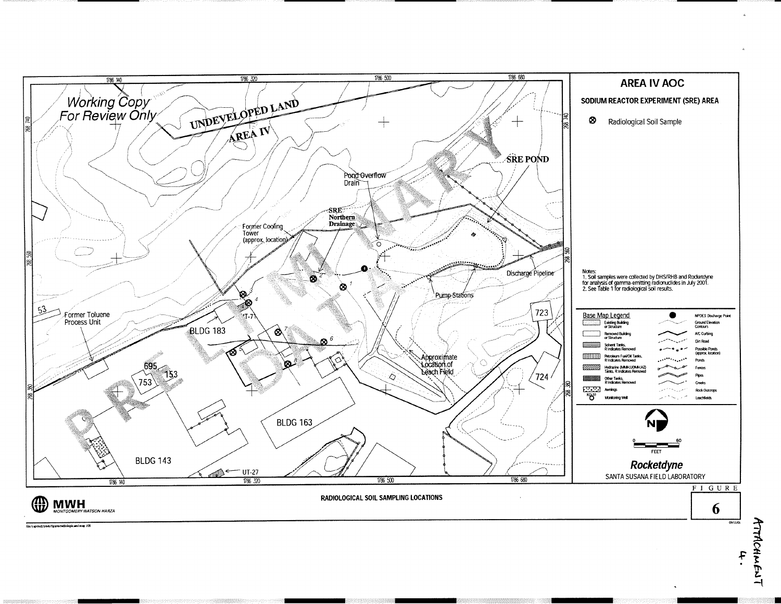

ATTACHMENT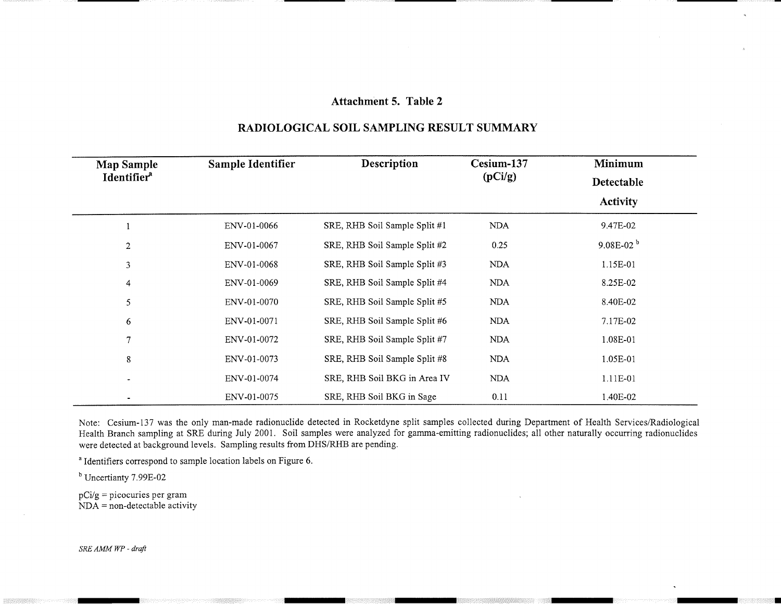### **Attachment 5. Table 2**

| <b>Map Sample</b>       | Sample Identifier | Description                   | Cesium-137 | <b>Minimum</b><br>Detectable |  |
|-------------------------|-------------------|-------------------------------|------------|------------------------------|--|
| Identifier <sup>a</sup> |                   |                               | (pCi/g)    |                              |  |
|                         |                   |                               |            | <b>Activity</b>              |  |
|                         | ENV-01-0066       | SRE, RHB Soil Sample Split #1 | <b>NDA</b> | 9.47E-02                     |  |
| $\overline{2}$          | ENV-01-0067       | SRE, RHB Soil Sample Split #2 | 0.25       | $9.08E-02b$                  |  |
| $\mathbf{3}$            | ENV-01-0068       | SRE, RHB Soil Sample Split #3 | <b>NDA</b> | 1.15E-01                     |  |
| 4                       | ENV-01-0069       | SRE, RHB Soil Sample Split #4 | <b>NDA</b> | 8.25E-02                     |  |
| 5                       | ENV-01-0070       | SRE, RHB Soil Sample Split #5 | <b>NDA</b> | 8.40E-02                     |  |
| 6                       | ENV-01-0071       | SRE, RHB Soil Sample Split #6 | <b>NDA</b> | 7.17E-02                     |  |
| $\tau$                  | ENV-01-0072       | SRE, RHB Soil Sample Split #7 | <b>NDA</b> | 1.08E-01                     |  |
| 8                       | ENV-01-0073       | SRE, RHB Soil Sample Split #8 | <b>NDA</b> | 1.05E-01                     |  |
|                         | ENV-01-0074       | SRE, RHB Soil BKG in Area IV  | <b>NDA</b> | 1.11E-01                     |  |
|                         | ENV-01-0075       | SRE, RHB Soil BKG in Sage     | 0.11       | 1.40E-02                     |  |

## **RADIOLOGICAL SOIL SAMPLING RESULT SUMMARY**

Note: Cesium-137 was the only man-made radionuclide detected in Rocketdyne split samples collected during Department of Health Services/Radiological Health Branch sampling at SRE during July 2001. Soil samples were analyzed for gamma-emitting radionuclides; all other naturally occurring radionuclides were detected at background levels. Sampling results from DHS/RHB are pending.

<sup>a</sup> Identifiers correspond to sample location labels on Figure 6.

Uncertianty 7.99E-02

pCi/g = picocuries per gram **NDA** = non-detectable activity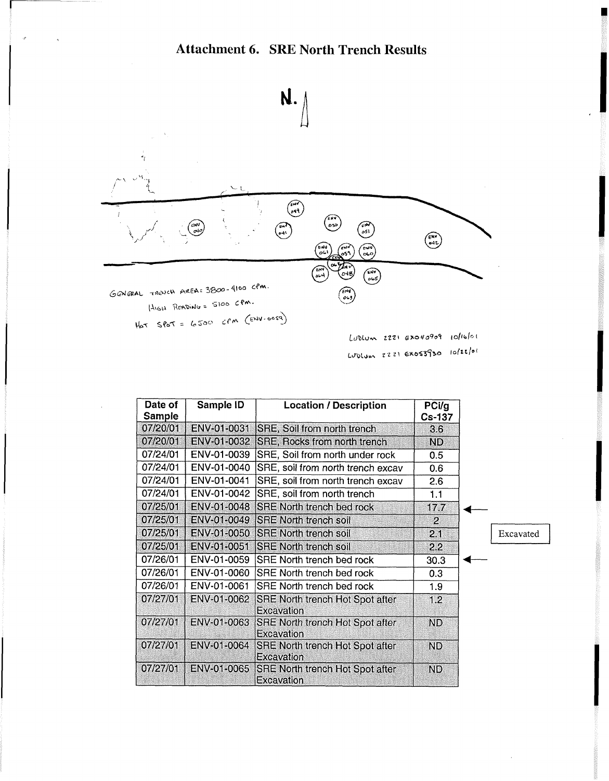

 $L\nu$ Dlum 2221 Ex040909  $10$ lblot Lublum 2221 Exos3930 10/22/01

| Date of<br><b>Sample</b> | Sample ID   | <b>Location / Description</b>                             | PCi/g<br><b>Cs-137</b> |           |
|--------------------------|-------------|-----------------------------------------------------------|------------------------|-----------|
| 07/20/01                 | ENV-01-0031 | <b>SRE, Soil from north trench</b>                        | 3.6 <sub>2</sub>       |           |
| 07/20/01                 | ENV-01-0032 | <b>SRE, Rocks from north trench</b>                       | ND.                    |           |
| 07/24/01                 | ENV-01-0039 | SRE, Soil from north under rock                           | 0.5                    |           |
| 07/24/01                 | ENV-01-0040 | SRE, soil from north trench excav                         | 0.6                    |           |
| 07/24/01                 | ENV-01-0041 | SRE, soil from north trench excav                         | 2.6                    |           |
| 07/24/01                 | ENV-01-0042 | SRE, soil from north trench                               | 1.1                    |           |
| 07/25/01                 |             | ENV-01-0048 SRE North trench bed rock                     | 17.7                   |           |
| 07/25/01                 |             | ENV-01-0049 SRE North trench soil                         | $\overline{2}$         |           |
| 07/25/01                 |             | ENV-01-0050 SRE North trench soil                         | 2.1                    | Excavated |
| 07/25/01                 | ENV-01-0051 | <b>ISRE North trench soil</b>                             | 2.2                    |           |
| 07/26/01                 | ENV-01-0059 | <b>SRE North trench bed rock</b>                          | 30.3                   |           |
| 07/26/01                 | ENV-01-0060 | <b>SRE North trench bed rock</b>                          | 0.3                    |           |
| 07/26/01                 | ENV-01-0061 | <b>SRE North trench bed rock</b>                          | 1.9                    |           |
| 07/27/01                 | ENV-01-0062 | <b>SRE North trench Hot Spot after</b><br>Excavation      | 1.2                    |           |
| 07/27/01                 | ENV-01-0063 | <b>SRE North trench Hot Spot after</b><br>Excavation      | ND                     |           |
| 07/27/01                 |             | ENV-01-0064 SRE North trench Hot Spot after<br>Excavation | ND.                    |           |
| 07/27/01                 |             | ENV-01-0065 SRE North trench Hot Spot after<br>Excavation | ND.                    |           |